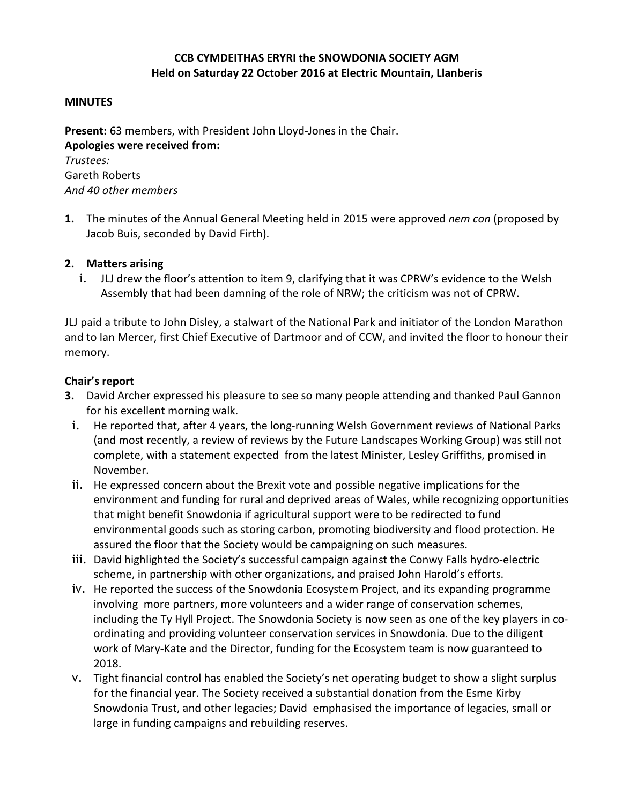# **CCB CYMDEITHAS ERYRI the SNOWDONIA SOCIETY AGM Held on Saturday 22 October 2016 at Electric Mountain, Llanberis**

#### **MINUTES**

**Present:** 63 members, with President John Lloyd-Jones in the Chair. **Apologies were received from:** *Trustees:*

Gareth Roberts *And 40 other members*

**1.** The minutes of the Annual General Meeting held in 2015 were approved *nem con* (proposed by Jacob Buis, seconded by David Firth).

### **2. Matters arising**

i. JLJ drew the floor's attention to item 9, clarifying that it was CPRW's evidence to the Welsh Assembly that had been damning of the role of NRW; the criticism was not of CPRW.

JLJ paid a tribute to John Disley, a stalwart of the National Park and initiator of the London Marathon and to Ian Mercer, first Chief Executive of Dartmoor and of CCW, and invited the floor to honour their memory.

### **Chair's report**

- **3.** David Archer expressed his pleasure to see so many people attending and thanked Paul Gannon for his excellent morning walk.
- i. He reported that, after 4 years, the long-running Welsh Government reviews of National Parks (and most recently, a review of reviews by the Future Landscapes Working Group) was still not complete, with a statement expected from the latest Minister, Lesley Griffiths, promised in November.
- ii. He expressed concern about the Brexit vote and possible negative implications for the environment and funding for rural and deprived areas of Wales, while recognizing opportunities that might benefit Snowdonia if agricultural support were to be redirected to fund environmental goods such as storing carbon, promoting biodiversity and flood protection. He assured the floor that the Society would be campaigning on such measures.
- iii. David highlighted the Society's successful campaign against the Conwy Falls hydro-electric scheme, in partnership with other organizations, and praised John Harold's efforts.
- iv. He reported the success of the Snowdonia Ecosystem Project, and its expanding programme involving more partners, more volunteers and a wider range of conservation schemes, including the Ty Hyll Project. The Snowdonia Society is now seen as one of the key players in coordinating and providing volunteer conservation services in Snowdonia. Due to the diligent work of Mary-Kate and the Director, funding for the Ecosystem team is now guaranteed to 2018.
- v. Tight financial control has enabled the Society's net operating budget to show a slight surplus for the financial year. The Society received a substantial donation from the Esme Kirby Snowdonia Trust, and other legacies; David emphasised the importance of legacies, small or large in funding campaigns and rebuilding reserves.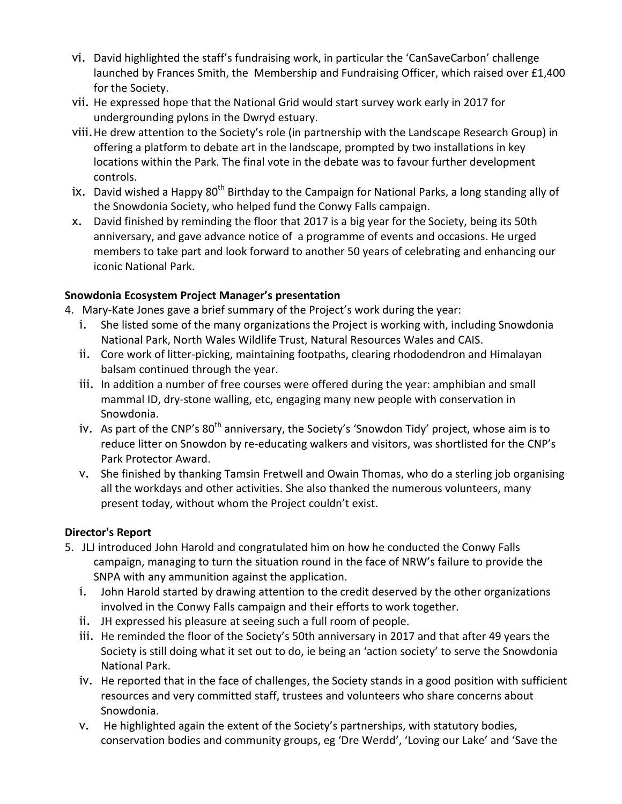- vi. David highlighted the staff's fundraising work, in particular the 'CanSaveCarbon' challenge launched by Frances Smith, the Membership and Fundraising Officer, which raised over £1,400 for the Society.
- vii. He expressed hope that the National Grid would start survey work early in 2017 for undergrounding pylons in the Dwryd estuary.
- viii.He drew attention to the Society's role (in partnership with the Landscape Research Group) in offering a platform to debate art in the landscape, prompted by two installations in key locations within the Park. The final vote in the debate was to favour further development controls.
- ix. David wished a Happy  $80<sup>th</sup>$  Birthday to the Campaign for National Parks, a long standing ally of the Snowdonia Society, who helped fund the Conwy Falls campaign.
- x. David finished by reminding the floor that 2017 is a big year for the Society, being its 50th anniversary, and gave advance notice of a programme of events and occasions. He urged members to take part and look forward to another 50 years of celebrating and enhancing our iconic National Park.

# **Snowdonia Ecosystem Project Manager's presentation**

- 4. Mary-Kate Jones gave a brief summary of the Project's work during the year:
	- i. She listed some of the many organizations the Project is working with, including Snowdonia National Park, North Wales Wildlife Trust, Natural Resources Wales and CAIS.
	- ii. Core work of litter-picking, maintaining footpaths, clearing rhododendron and Himalayan balsam continued through the year.
	- iii. In addition a number of free courses were offered during the year: amphibian and small mammal ID, dry-stone walling, etc, engaging many new people with conservation in Snowdonia.
	- iv. As part of the CNP's 80<sup>th</sup> anniversary, the Society's 'Snowdon Tidy' project, whose aim is to reduce litter on Snowdon by re-educating walkers and visitors, was shortlisted for the CNP's Park Protector Award.
	- v. She finished by thanking Tamsin Fretwell and Owain Thomas, who do a sterling job organising all the workdays and other activities. She also thanked the numerous volunteers, many present today, without whom the Project couldn't exist.

# **Director's Report**

- 5. JLJ introduced John Harold and congratulated him on how he conducted the Conwy Falls campaign, managing to turn the situation round in the face of NRW's failure to provide the SNPA with any ammunition against the application.
	- i. John Harold started by drawing attention to the credit deserved by the other organizations involved in the Conwy Falls campaign and their efforts to work together.
	- ii. JH expressed his pleasure at seeing such a full room of people.
	- iii. He reminded the floor of the Society's 50th anniversary in 2017 and that after 49 years the Society is still doing what it set out to do, ie being an 'action society' to serve the Snowdonia National Park.
	- iv. He reported that in the face of challenges, the Society stands in a good position with sufficient resources and very committed staff, trustees and volunteers who share concerns about Snowdonia.
	- v. He highlighted again the extent of the Society's partnerships, with statutory bodies, conservation bodies and community groups, eg 'Dre Werdd', 'Loving our Lake' and 'Save the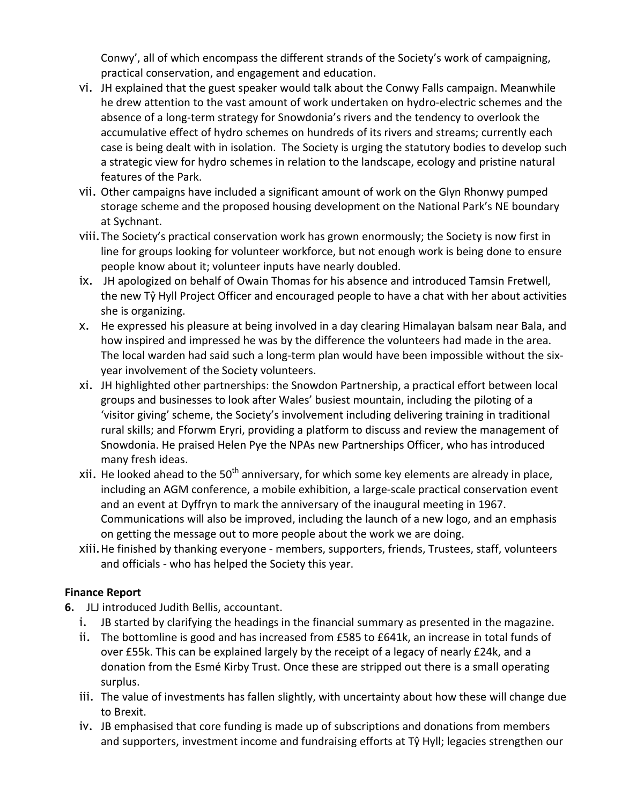Conwy', all of which encompass the different strands of the Society's work of campaigning, practical conservation, and engagement and education.

- vi. JH explained that the guest speaker would talk about the Conwy Falls campaign. Meanwhile he drew attention to the vast amount of work undertaken on hydro-electric schemes and the absence of a long-term strategy for Snowdonia's rivers and the tendency to overlook the accumulative effect of hydro schemes on hundreds of its rivers and streams; currently each case is being dealt with in isolation. The Society is urging the statutory bodies to develop such a strategic view for hydro schemes in relation to the landscape, ecology and pristine natural features of the Park.
- vii. Other campaigns have included a significant amount of work on the Glyn Rhonwy pumped storage scheme and the proposed housing development on the National Park's NE boundary at Sychnant.
- viii.The Society's practical conservation work has grown enormously; the Society is now first in line for groups looking for volunteer workforce, but not enough work is being done to ensure people know about it; volunteer inputs have nearly doubled.
- ix. JH apologized on behalf of Owain Thomas for his absence and introduced Tamsin Fretwell, the new Tŷ Hyll Project Officer and encouraged people to have a chat with her about activities she is organizing.
- x. He expressed his pleasure at being involved in a day clearing Himalayan balsam near Bala, and how inspired and impressed he was by the difference the volunteers had made in the area. The local warden had said such a long-term plan would have been impossible without the sixyear involvement of the Society volunteers.
- xi. JH highlighted other partnerships: the Snowdon Partnership, a practical effort between local groups and businesses to look after Wales' busiest mountain, including the piloting of a 'visitor giving' scheme, the Society's involvement including delivering training in traditional rural skills; and Fforwm Eryri, providing a platform to discuss and review the management of Snowdonia. He praised Helen Pye the NPAs new Partnerships Officer, who has introduced many fresh ideas.
- xii. He looked ahead to the 50<sup>th</sup> anniversary, for which some key elements are already in place, including an AGM conference, a mobile exhibition, a large-scale practical conservation event and an event at Dyffryn to mark the anniversary of the inaugural meeting in 1967. Communications will also be improved, including the launch of a new logo, and an emphasis on getting the message out to more people about the work we are doing.
- xiii.He finished by thanking everyone members, supporters, friends, Trustees, staff, volunteers and officials - who has helped the Society this year.

# **Finance Report**

- **6.** JLJ introduced Judith Bellis, accountant.
	- i. JB started by clarifying the headings in the financial summary as presented in the magazine.
	- ii. The bottomline is good and has increased from £585 to £641k, an increase in total funds of over £55k. This can be explained largely by the receipt of a legacy of nearly £24k, and a donation from the Esmé Kirby Trust. Once these are stripped out there is a small operating surplus.
	- iii. The value of investments has fallen slightly, with uncertainty about how these will change due to Brexit.
	- iv. JB emphasised that core funding is made up of subscriptions and donations from members and supporters, investment income and fundraising efforts at Tŷ Hyll; legacies strengthen our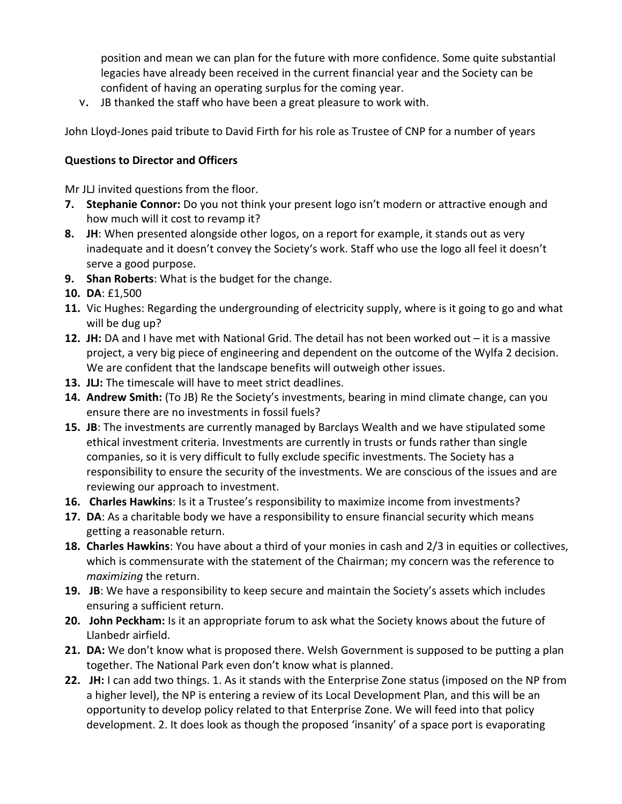position and mean we can plan for the future with more confidence. Some quite substantial legacies have already been received in the current financial year and the Society can be confident of having an operating surplus for the coming year.

v. JB thanked the staff who have been a great pleasure to work with.

John Lloyd-Jones paid tribute to David Firth for his role as Trustee of CNP for a number of years

# **Questions to Director and Officers**

Mr JLJ invited questions from the floor.

- **7. Stephanie Connor:** Do you not think your present logo isn't modern or attractive enough and how much will it cost to revamp it?
- **8. JH**: When presented alongside other logos, on a report for example, it stands out as very inadequate and it doesn't convey the Society's work. Staff who use the logo all feel it doesn't serve a good purpose.
- **9. Shan Roberts**: What is the budget for the change.
- **10. DA**: £1,500
- **11.** Vic Hughes: Regarding the undergrounding of electricity supply, where is it going to go and what will be dug up?
- **12. JH:** DA and I have met with National Grid. The detail has not been worked out it is a massive project, a very big piece of engineering and dependent on the outcome of the Wylfa 2 decision. We are confident that the landscape benefits will outweigh other issues.
- **13. JLJ:** The timescale will have to meet strict deadlines.
- **14. Andrew Smith:** (To JB) Re the Society's investments, bearing in mind climate change, can you ensure there are no investments in fossil fuels?
- **15. JB**: The investments are currently managed by Barclays Wealth and we have stipulated some ethical investment criteria. Investments are currently in trusts or funds rather than single companies, so it is very difficult to fully exclude specific investments. The Society has a responsibility to ensure the security of the investments. We are conscious of the issues and are reviewing our approach to investment.
- **16. Charles Hawkins**: Is it a Trustee's responsibility to maximize income from investments?
- **17. DA**: As a charitable body we have a responsibility to ensure financial security which means getting a reasonable return.
- **18. Charles Hawkins**: You have about a third of your monies in cash and 2/3 in equities or collectives, which is commensurate with the statement of the Chairman; my concern was the reference to *maximizing* the return.
- **19. JB**: We have a responsibility to keep secure and maintain the Society's assets which includes ensuring a sufficient return.
- **20. John Peckham:** Is it an appropriate forum to ask what the Society knows about the future of Llanbedr airfield.
- **21. DA:** We don't know what is proposed there. Welsh Government is supposed to be putting a plan together. The National Park even don't know what is planned.
- **22. JH:** I can add two things. 1. As it stands with the Enterprise Zone status (imposed on the NP from a higher level), the NP is entering a review of its Local Development Plan, and this will be an opportunity to develop policy related to that Enterprise Zone. We will feed into that policy development. 2. It does look as though the proposed 'insanity' of a space port is evaporating